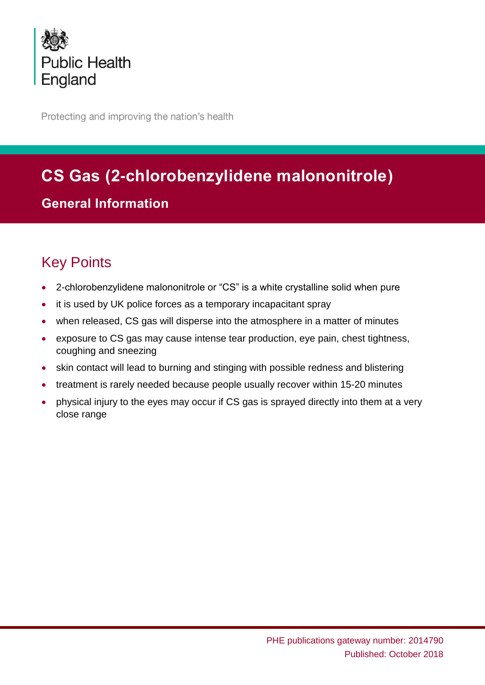

Protecting and improving the nation's health

# **CS Gas (2-chlorobenzylidene malononitrole)**

## **General Information**

## Key Points

- 2-chlorobenzylidene malononitrole or "CS" is a white crystalline solid when pure
- it is used by UK police forces as a temporary incapacitant spray
- when released, CS gas will disperse into the atmosphere in a matter of minutes
- exposure to CS gas may cause intense tear production, eye pain, chest tightness, coughing and sneezing
- skin contact will lead to burning and stinging with possible redness and blistering
- treatment is rarely needed because people usually recover within 15-20 minutes
- physical injury to the eyes may occur if CS gas is sprayed directly into them at a very close range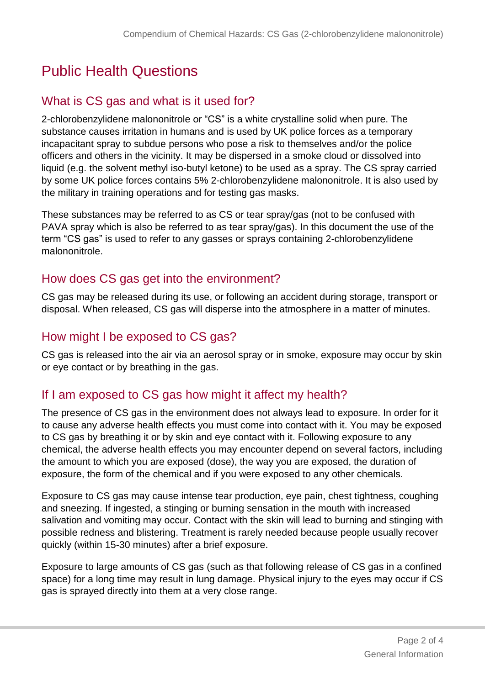## Public Health Questions

## What is CS gas and what is it used for?

2-chlorobenzylidene malononitrole or "CS" is a white crystalline solid when pure. The substance causes irritation in humans and is used by UK police forces as a temporary incapacitant spray to subdue persons who pose a risk to themselves and/or the police officers and others in the vicinity. It may be dispersed in a smoke cloud or dissolved into liquid (e.g. the solvent methyl iso-butyl ketone) to be used as a spray. The CS spray carried by some UK police forces contains 5% 2-chlorobenzylidene malononitrole. It is also used by the military in training operations and for testing gas masks.

These substances may be referred to as CS or tear spray/gas (not to be confused with PAVA spray which is also be referred to as tear spray/gas). In this document the use of the term "CS gas" is used to refer to any gasses or sprays containing 2-chlorobenzylidene malononitrole.

## How does CS gas get into the environment?

CS gas may be released during its use, or following an accident during storage, transport or disposal. When released, CS gas will disperse into the atmosphere in a matter of minutes.

### How might I be exposed to CS gas?

CS gas is released into the air via an aerosol spray or in smoke, exposure may occur by skin or eye contact or by breathing in the gas.

## If I am exposed to CS gas how might it affect my health?

The presence of CS gas in the environment does not always lead to exposure. In order for it to cause any adverse health effects you must come into contact with it. You may be exposed to CS gas by breathing it or by skin and eye contact with it. Following exposure to any chemical, the adverse health effects you may encounter depend on several factors, including the amount to which you are exposed (dose), the way you are exposed, the duration of exposure, the form of the chemical and if you were exposed to any other chemicals.

Exposure to CS gas may cause intense tear production, eye pain, chest tightness, coughing and sneezing. If ingested, a stinging or burning sensation in the mouth with increased salivation and vomiting may occur. Contact with the skin will lead to burning and stinging with possible redness and blistering. Treatment is rarely needed because people usually recover quickly (within 15-30 minutes) after a brief exposure.

Exposure to large amounts of CS gas (such as that following release of CS gas in a confined space) for a long time may result in lung damage. Physical injury to the eyes may occur if CS gas is sprayed directly into them at a very close range.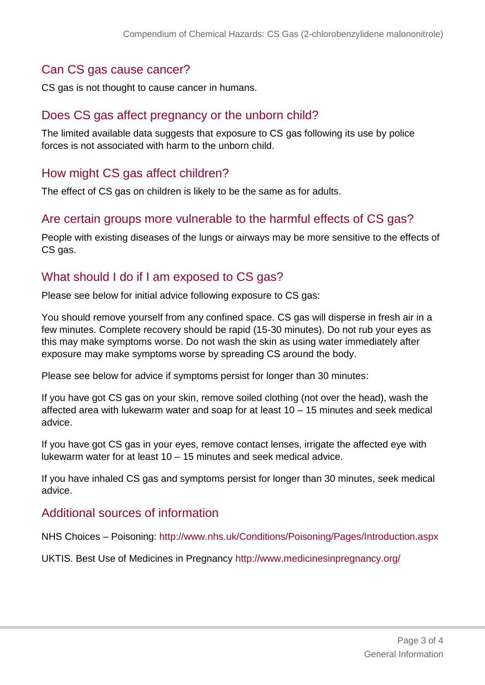### Can CS gas cause cancer?

CS gas is not thought to cause cancer in humans.

#### Does CS gas affect pregnancy or the unborn child?

The limited available data suggests that exposure to CS gas following its use by police forces is not associated with harm to the unborn child.

### How might CS gas affect children?

The effect of CS gas on children is likely to be the same as for adults.

#### Are certain groups more vulnerable to the harmful effects of CS gas?

People with existing diseases of the lungs or airways may be more sensitive to the effects of CS gas.

#### What should I do if I am exposed to CS gas?

Please see below for initial advice following exposure to CS gas:

You should remove yourself from any confined space. CS gas will disperse in fresh air in a few minutes. Complete recovery should be rapid (15-30 minutes). Do not rub your eyes as this may make symptoms worse. Do not wash the skin as using water immediately after exposure may make symptoms worse by spreading CS around the body.

Please see below for advice if symptoms persist for longer than 30 minutes:

If you have got CS gas on your skin, remove soiled clothing (not over the head), wash the affected area with lukewarm water and soap for at least 10 – 15 minutes and seek medical advice.

If you have got CS gas in your eyes, remove contact lenses, irrigate the affected eye with lukewarm water for at least 10 – 15 minutes and seek medical advice.

If you have inhaled CS gas and symptoms persist for longer than 30 minutes, seek medical advice.

#### Additional sources of information

NHS Choices – Poisoning:<http://www.nhs.uk/Conditions/Poisoning/Pages/Introduction.aspx>

UKTIS. Best Use of Medicines in Pregnancy<http://www.medicinesinpregnancy.org/>